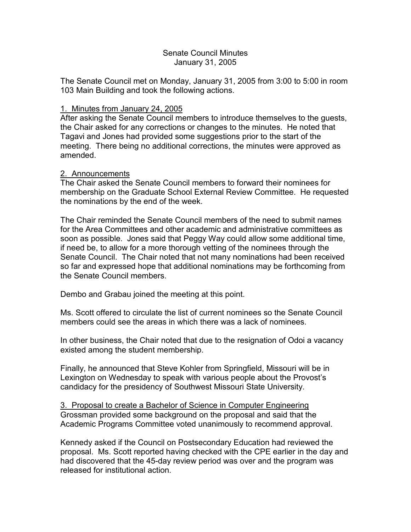### Senate Council Minutes January 31, 2005

The Senate Council met on Monday, January 31, 2005 from 3:00 to 5:00 in room 103 Main Building and took the following actions.

## 1. Minutes from January 24, 2005

After asking the Senate Council members to introduce themselves to the guests, the Chair asked for any corrections or changes to the minutes. He noted that Tagavi and Jones had provided some suggestions prior to the start of the meeting. There being no additional corrections, the minutes were approved as amended.

### 2. Announcements

The Chair asked the Senate Council members to forward their nominees for membership on the Graduate School External Review Committee. He requested the nominations by the end of the week.

The Chair reminded the Senate Council members of the need to submit names for the Area Committees and other academic and administrative committees as soon as possible. Jones said that Peggy Way could allow some additional time, if need be, to allow for a more thorough vetting of the nominees through the Senate Council. The Chair noted that not many nominations had been received so far and expressed hope that additional nominations may be forthcoming from the Senate Council members.

Dembo and Grabau joined the meeting at this point.

Ms. Scott offered to circulate the list of current nominees so the Senate Council members could see the areas in which there was a lack of nominees.

In other business, the Chair noted that due to the resignation of Odoi a vacancy existed among the student membership.

Finally, he announced that Steve Kohler from Springfield, Missouri will be in Lexington on Wednesday to speak with various people about the Provost's candidacy for the presidency of Southwest Missouri State University.

3. Proposal to create a Bachelor of Science in Computer Engineering Grossman provided some background on the proposal and said that the Academic Programs Committee voted unanimously to recommend approval.

Kennedy asked if the Council on Postsecondary Education had reviewed the proposal. Ms. Scott reported having checked with the CPE earlier in the day and had discovered that the 45-day review period was over and the program was released for institutional action.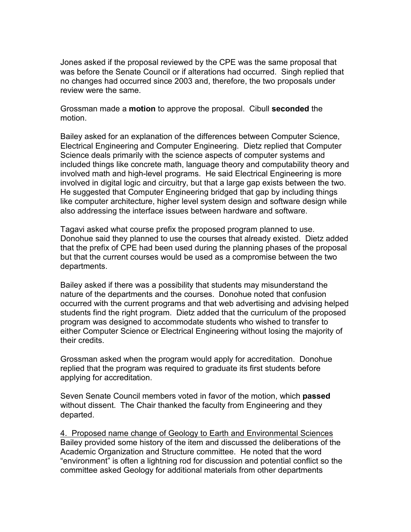Jones asked if the proposal reviewed by the CPE was the same proposal that was before the Senate Council or if alterations had occurred. Singh replied that no changes had occurred since 2003 and, therefore, the two proposals under review were the same.

Grossman made a **motion** to approve the proposal. Cibull **seconded** the motion.

Bailey asked for an explanation of the differences between Computer Science, Electrical Engineering and Computer Engineering. Dietz replied that Computer Science deals primarily with the science aspects of computer systems and included things like concrete math, language theory and computability theory and involved math and high-level programs. He said Electrical Engineering is more involved in digital logic and circuitry, but that a large gap exists between the two. He suggested that Computer Engineering bridged that gap by including things like computer architecture, higher level system design and software design while also addressing the interface issues between hardware and software.

Tagavi asked what course prefix the proposed program planned to use. Donohue said they planned to use the courses that already existed. Dietz added that the prefix of CPE had been used during the planning phases of the proposal but that the current courses would be used as a compromise between the two departments.

Bailey asked if there was a possibility that students may misunderstand the nature of the departments and the courses. Donohue noted that confusion occurred with the current programs and that web advertising and advising helped students find the right program. Dietz added that the curriculum of the proposed program was designed to accommodate students who wished to transfer to either Computer Science or Electrical Engineering without losing the majority of their credits.

Grossman asked when the program would apply for accreditation. Donohue replied that the program was required to graduate its first students before applying for accreditation.

Seven Senate Council members voted in favor of the motion, which **passed** without dissent. The Chair thanked the faculty from Engineering and they departed.

4. Proposed name change of Geology to Earth and Environmental Sciences Bailey provided some history of the item and discussed the deliberations of the Academic Organization and Structure committee. He noted that the word "environment" is often a lightning rod for discussion and potential conflict so the committee asked Geology for additional materials from other departments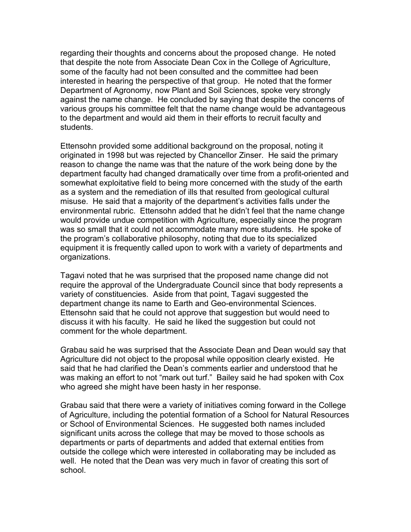regarding their thoughts and concerns about the proposed change. He noted that despite the note from Associate Dean Cox in the College of Agriculture, some of the faculty had not been consulted and the committee had been interested in hearing the perspective of that group. He noted that the former Department of Agronomy, now Plant and Soil Sciences, spoke very strongly against the name change. He concluded by saying that despite the concerns of various groups his committee felt that the name change would be advantageous to the department and would aid them in their efforts to recruit faculty and students.

Ettensohn provided some additional background on the proposal, noting it originated in 1998 but was rejected by Chancellor Zinser. He said the primary reason to change the name was that the nature of the work being done by the department faculty had changed dramatically over time from a profit-oriented and somewhat exploitative field to being more concerned with the study of the earth as a system and the remediation of ills that resulted from geological cultural misuse. He said that a majority of the department's activities falls under the environmental rubric. Ettensohn added that he didn't feel that the name change would provide undue competition with Agriculture, especially since the program was so small that it could not accommodate many more students. He spoke of the program's collaborative philosophy, noting that due to its specialized equipment it is frequently called upon to work with a variety of departments and organizations.

Tagavi noted that he was surprised that the proposed name change did not require the approval of the Undergraduate Council since that body represents a variety of constituencies. Aside from that point, Tagavi suggested the department change its name to Earth and Geo-environmental Sciences. Ettensohn said that he could not approve that suggestion but would need to discuss it with his faculty. He said he liked the suggestion but could not comment for the whole department.

Grabau said he was surprised that the Associate Dean and Dean would say that Agriculture did not object to the proposal while opposition clearly existed. He said that he had clarified the Dean's comments earlier and understood that he was making an effort to not "mark out turf." Bailey said he had spoken with Cox who agreed she might have been hasty in her response.

Grabau said that there were a variety of initiatives coming forward in the College of Agriculture, including the potential formation of a School for Natural Resources or School of Environmental Sciences. He suggested both names included significant units across the college that may be moved to those schools as departments or parts of departments and added that external entities from outside the college which were interested in collaborating may be included as well. He noted that the Dean was very much in favor of creating this sort of school.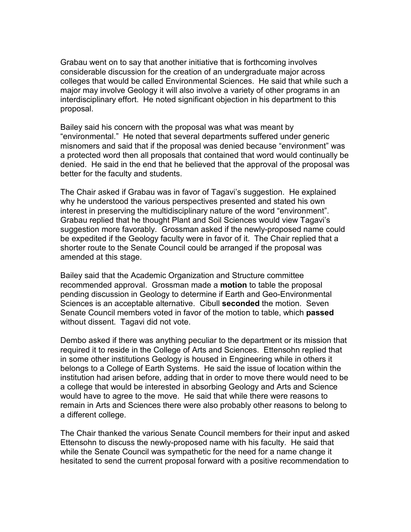Grabau went on to say that another initiative that is forthcoming involves considerable discussion for the creation of an undergraduate major across colleges that would be called Environmental Sciences. He said that while such a major may involve Geology it will also involve a variety of other programs in an interdisciplinary effort. He noted significant objection in his department to this proposal.

Bailey said his concern with the proposal was what was meant by "environmental." He noted that several departments suffered under generic misnomers and said that if the proposal was denied because "environment" was a protected word then all proposals that contained that word would continually be denied. He said in the end that he believed that the approval of the proposal was better for the faculty and students.

The Chair asked if Grabau was in favor of Tagavi's suggestion. He explained why he understood the various perspectives presented and stated his own interest in preserving the multidisciplinary nature of the word "environment". Grabau replied that he thought Plant and Soil Sciences would view Tagavi's suggestion more favorably. Grossman asked if the newly-proposed name could be expedited if the Geology faculty were in favor of it. The Chair replied that a shorter route to the Senate Council could be arranged if the proposal was amended at this stage.

Bailey said that the Academic Organization and Structure committee recommended approval. Grossman made a **motion** to table the proposal pending discussion in Geology to determine if Earth and Geo-Environmental Sciences is an acceptable alternative. Cibull **seconded** the motion. Seven Senate Council members voted in favor of the motion to table, which **passed** without dissent. Tagavi did not vote.

Dembo asked if there was anything peculiar to the department or its mission that required it to reside in the College of Arts and Sciences. Ettensohn replied that in some other institutions Geology is housed in Engineering while in others it belongs to a College of Earth Systems. He said the issue of location within the institution had arisen before, adding that in order to move there would need to be a college that would be interested in absorbing Geology and Arts and Science would have to agree to the move. He said that while there were reasons to remain in Arts and Sciences there were also probably other reasons to belong to a different college.

The Chair thanked the various Senate Council members for their input and asked Ettensohn to discuss the newly-proposed name with his faculty. He said that while the Senate Council was sympathetic for the need for a name change it hesitated to send the current proposal forward with a positive recommendation to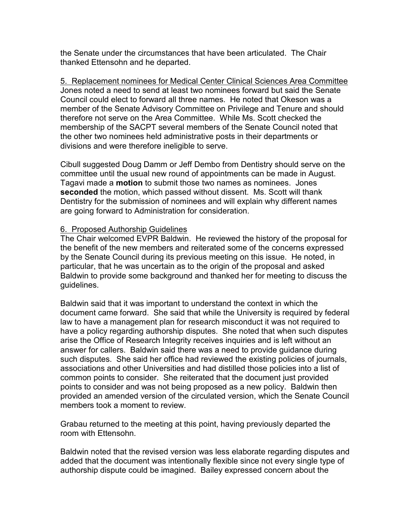the Senate under the circumstances that have been articulated. The Chair thanked Ettensohn and he departed.

5. Replacement nominees for Medical Center Clinical Sciences Area Committee Jones noted a need to send at least two nominees forward but said the Senate Council could elect to forward all three names. He noted that Okeson was a member of the Senate Advisory Committee on Privilege and Tenure and should therefore not serve on the Area Committee. While Ms. Scott checked the membership of the SACPT several members of the Senate Council noted that the other two nominees held administrative posts in their departments or divisions and were therefore ineligible to serve.

Cibull suggested Doug Damm or Jeff Dembo from Dentistry should serve on the committee until the usual new round of appointments can be made in August. Tagavi made a **motion** to submit those two names as nominees. Jones **seconded** the motion, which passed without dissent. Ms. Scott will thank Dentistry for the submission of nominees and will explain why different names are going forward to Administration for consideration.

# 6. Proposed Authorship Guidelines

The Chair welcomed EVPR Baldwin. He reviewed the history of the proposal for the benefit of the new members and reiterated some of the concerns expressed by the Senate Council during its previous meeting on this issue. He noted, in particular, that he was uncertain as to the origin of the proposal and asked Baldwin to provide some background and thanked her for meeting to discuss the guidelines.

Baldwin said that it was important to understand the context in which the document came forward. She said that while the University is required by federal law to have a management plan for research misconduct it was not required to have a policy regarding authorship disputes. She noted that when such disputes arise the Office of Research Integrity receives inquiries and is left without an answer for callers. Baldwin said there was a need to provide guidance during such disputes. She said her office had reviewed the existing policies of journals, associations and other Universities and had distilled those policies into a list of common points to consider. She reiterated that the document just provided points to consider and was not being proposed as a new policy. Baldwin then provided an amended version of the circulated version, which the Senate Council members took a moment to review.

Grabau returned to the meeting at this point, having previously departed the room with Ettensohn.

Baldwin noted that the revised version was less elaborate regarding disputes and added that the document was intentionally flexible since not every single type of authorship dispute could be imagined. Bailey expressed concern about the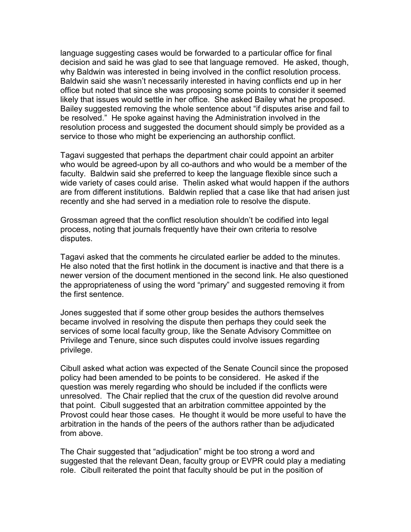language suggesting cases would be forwarded to a particular office for final decision and said he was glad to see that language removed. He asked, though, why Baldwin was interested in being involved in the conflict resolution process. Baldwin said she wasn't necessarily interested in having conflicts end up in her office but noted that since she was proposing some points to consider it seemed likely that issues would settle in her office. She asked Bailey what he proposed. Bailey suggested removing the whole sentence about "if disputes arise and fail to be resolved." He spoke against having the Administration involved in the resolution process and suggested the document should simply be provided as a service to those who might be experiencing an authorship conflict.

Tagavi suggested that perhaps the department chair could appoint an arbiter who would be agreed-upon by all co-authors and who would be a member of the faculty. Baldwin said she preferred to keep the language flexible since such a wide variety of cases could arise. Thelin asked what would happen if the authors are from different institutions. Baldwin replied that a case like that had arisen just recently and she had served in a mediation role to resolve the dispute.

Grossman agreed that the conflict resolution shouldn't be codified into legal process, noting that journals frequently have their own criteria to resolve disputes.

Tagavi asked that the comments he circulated earlier be added to the minutes. He also noted that the first hotlink in the document is inactive and that there is a newer version of the document mentioned in the second link. He also questioned the appropriateness of using the word "primary" and suggested removing it from the first sentence.

Jones suggested that if some other group besides the authors themselves became involved in resolving the dispute then perhaps they could seek the services of some local faculty group, like the Senate Advisory Committee on Privilege and Tenure, since such disputes could involve issues regarding privilege.

Cibull asked what action was expected of the Senate Council since the proposed policy had been amended to be points to be considered. He asked if the question was merely regarding who should be included if the conflicts were unresolved. The Chair replied that the crux of the question did revolve around that point. Cibull suggested that an arbitration committee appointed by the Provost could hear those cases. He thought it would be more useful to have the arbitration in the hands of the peers of the authors rather than be adjudicated from above.

The Chair suggested that "adjudication" might be too strong a word and suggested that the relevant Dean, faculty group or EVPR could play a mediating role. Cibull reiterated the point that faculty should be put in the position of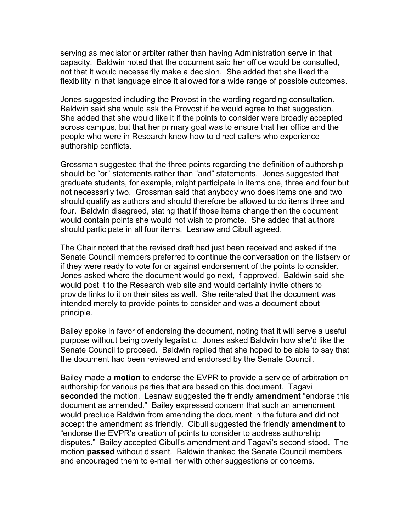serving as mediator or arbiter rather than having Administration serve in that capacity. Baldwin noted that the document said her office would be consulted, not that it would necessarily make a decision. She added that she liked the flexibility in that language since it allowed for a wide range of possible outcomes.

Jones suggested including the Provost in the wording regarding consultation. Baldwin said she would ask the Provost if he would agree to that suggestion. She added that she would like it if the points to consider were broadly accepted across campus, but that her primary goal was to ensure that her office and the people who were in Research knew how to direct callers who experience authorship conflicts.

Grossman suggested that the three points regarding the definition of authorship should be "or" statements rather than "and" statements. Jones suggested that graduate students, for example, might participate in items one, three and four but not necessarily two. Grossman said that anybody who does items one and two should qualify as authors and should therefore be allowed to do items three and four. Baldwin disagreed, stating that if those items change then the document would contain points she would not wish to promote. She added that authors should participate in all four items. Lesnaw and Cibull agreed.

The Chair noted that the revised draft had just been received and asked if the Senate Council members preferred to continue the conversation on the listserv or if they were ready to vote for or against endorsement of the points to consider. Jones asked where the document would go next, if approved. Baldwin said she would post it to the Research web site and would certainly invite others to provide links to it on their sites as well. She reiterated that the document was intended merely to provide points to consider and was a document about principle.

Bailey spoke in favor of endorsing the document, noting that it will serve a useful purpose without being overly legalistic. Jones asked Baldwin how she'd like the Senate Council to proceed. Baldwin replied that she hoped to be able to say that the document had been reviewed and endorsed by the Senate Council.

Bailey made a **motion** to endorse the EVPR to provide a service of arbitration on authorship for various parties that are based on this document. Tagavi **seconded** the motion. Lesnaw suggested the friendly **amendment** "endorse this document as amended." Bailey expressed concern that such an amendment would preclude Baldwin from amending the document in the future and did not accept the amendment as friendly. Cibull suggested the friendly **amendment** to "endorse the EVPR's creation of points to consider to address authorship disputes." Bailey accepted Cibull's amendment and Tagavi's second stood. The motion **passed** without dissent. Baldwin thanked the Senate Council members and encouraged them to e-mail her with other suggestions or concerns.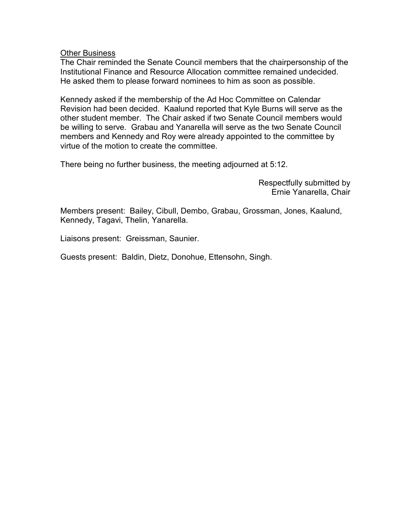### **Other Business**

The Chair reminded the Senate Council members that the chairpersonship of the Institutional Finance and Resource Allocation committee remained undecided. He asked them to please forward nominees to him as soon as possible.

Kennedy asked if the membership of the Ad Hoc Committee on Calendar Revision had been decided. Kaalund reported that Kyle Burns will serve as the other student member. The Chair asked if two Senate Council members would be willing to serve. Grabau and Yanarella will serve as the two Senate Council members and Kennedy and Roy were already appointed to the committee by virtue of the motion to create the committee.

There being no further business, the meeting adjourned at 5:12.

Respectfully submitted by Ernie Yanarella, Chair

Members present: Bailey, Cibull, Dembo, Grabau, Grossman, Jones, Kaalund, Kennedy, Tagavi, Thelin, Yanarella.

Liaisons present: Greissman, Saunier.

Guests present: Baldin, Dietz, Donohue, Ettensohn, Singh.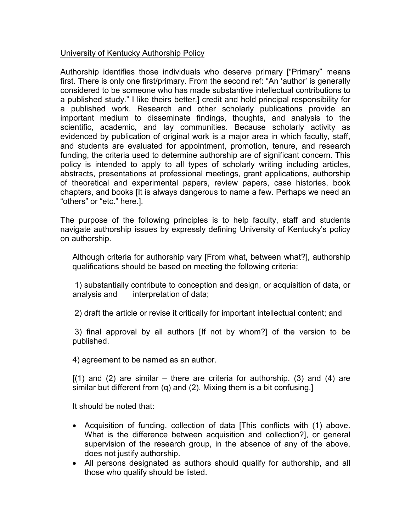# University of Kentucky Authorship Policy

Authorship identifies those individuals who deserve primary ["Primary" means first. There is only one first/primary. From the second ref: "An 'author' is generally considered to be someone who has made substantive intellectual contributions to a published study." I like theirs better.] credit and hold principal responsibility for a published work. Research and other scholarly publications provide an important medium to disseminate findings, thoughts, and analysis to the scientific, academic, and lay communities. Because scholarly activity as evidenced by publication of original work is a major area in which faculty, staff, and students are evaluated for appointment, promotion, tenure, and research funding, the criteria used to determine authorship are of significant concern. This policy is intended to apply to all types of scholarly writing including articles, abstracts, presentations at professional meetings, grant applications, authorship of theoretical and experimental papers, review papers, case histories, book chapters, and books [It is always dangerous to name a few. Perhaps we need an "others" or "etc." here.].

The purpose of the following principles is to help faculty, staff and students navigate authorship issues by expressly defining University of Kentucky's policy on authorship.

Although criteria for authorship vary [From what, between what?], authorship qualifications should be based on meeting the following criteria:

1) substantially contribute to conception and design, or acquisition of data, or analysis and interpretation of data;

2) draft the article or revise it critically for important intellectual content; and

3) final approval by all authors [If not by whom?] of the version to be published.

4) agreement to be named as an author.

 $[(1)$  and  $(2)$  are similar – there are criteria for authorship. (3) and (4) are similar but different from (q) and (2). Mixing them is a bit confusing.]

It should be noted that:

- Acquisition of funding, collection of data [This conflicts with (1) above. What is the difference between acquisition and collection?], or general supervision of the research group, in the absence of any of the above, does not justify authorship.
- All persons designated as authors should qualify for authorship, and all those who qualify should be listed.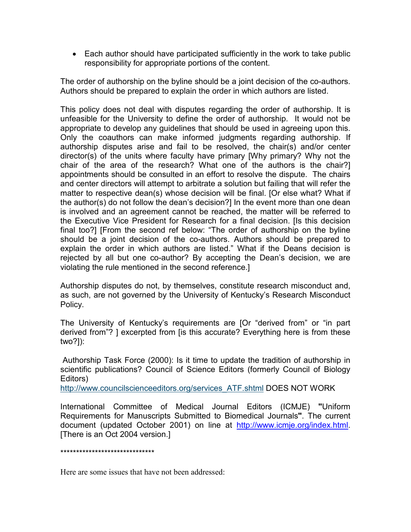• Each author should have participated sufficiently in the work to take public responsibility for appropriate portions of the content.

The order of authorship on the byline should be a joint decision of the co-authors. Authors should be prepared to explain the order in which authors are listed.

This policy does not deal with disputes regarding the order of authorship. It is unfeasible for the University to define the order of authorship. It would not be appropriate to develop any guidelines that should be used in agreeing upon this. Only the coauthors can make informed judgments regarding authorship. If authorship disputes arise and fail to be resolved, the chair(s) and/or center director(s) of the units where faculty have primary [Why primary? Why not the chair of the area of the research? What one of the authors is the chair?] appointments should be consulted in an effort to resolve the dispute. The chairs and center directors will attempt to arbitrate a solution but failing that will refer the matter to respective dean(s) whose decision will be final. [Or else what? What if the author(s) do not follow the dean's decision?] In the event more than one dean is involved and an agreement cannot be reached, the matter will be referred to the Executive Vice President for Research for a final decision. [Is this decision final too?] [From the second ref below: "The order of authorship on the byline should be a joint decision of the co-authors. Authors should be prepared to explain the order in which authors are listed." What if the Deans decision is rejected by all but one co-author? By accepting the Dean's decision, we are violating the rule mentioned in the second reference.]

Authorship disputes do not, by themselves, constitute research misconduct and, as such, are not governed by the University of Kentucky's Research Misconduct Policy.

The University of Kentucky's requirements are [Or "derived from" or "in part derived from"? ] excerpted from [is this accurate? Everything here is from these two?]):

Authorship Task Force (2000): Is it time to update the tradition of authorship in scientific publications? Council of Science Editors (formerly Council of Biology Editors)

[http://www.councilscienceeditors.org/services\\_ATF.shtml](http://www.councilscienceeditors.org/services_ATF.shtml) DOES NOT WORK

International Committee of Medical Journal Editors (ICMJE) **"**Uniform Requirements for Manuscripts Submitted to Biomedical Journals**"**. The current document (updated October 2001) on line at [http://www.icmje.org/index.html.](http://www.icmje.org/index.html) [There is an Oct 2004 version.]

\*\*\*\*\*\*\*\*\*\*\*\*\*\*\*\*\*\*\*\*\*\*\*\*\*\*\*\*\*\*

Here are some issues that have not been addressed: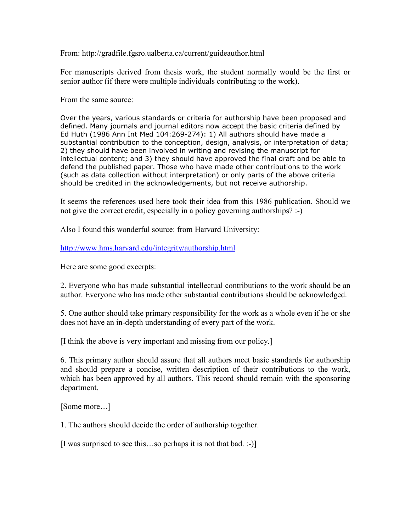From: http://gradfile.fgsro.ualberta.ca/current/guideauthor.html

For manuscripts derived from thesis work, the student normally would be the first or senior author (if there were multiple individuals contributing to the work).

From the same source:

Over the years, various standards or criteria for authorship have been proposed and defined. Many journals and journal editors now accept the basic criteria defined by Ed Huth (1986 Ann Int Med 104:269-274): 1) All authors should have made a substantial contribution to the conception, design, analysis, or interpretation of data; 2) they should have been involved in writing and revising the manuscript for intellectual content; and 3) they should have approved the final draft and be able to defend the published paper. Those who have made other contributions to the work (such as data collection without interpretation) or only parts of the above criteria should be credited in the acknowledgements, but not receive authorship.

It seems the references used here took their idea from this 1986 publication. Should we not give the correct credit, especially in a policy governing authorships? :-)

Also I found this wonderful source: from Harvard University:

<http://www.hms.harvard.edu/integrity/authorship.html>

Here are some good excerpts:

2. Everyone who has made substantial intellectual contributions to the work should be an author. Everyone who has made other substantial contributions should be acknowledged.

5. One author should take primary responsibility for the work as a whole even if he or she does not have an in-depth understanding of every part of the work.

[I think the above is very important and missing from our policy.]

6. This primary author should assure that all authors meet basic standards for authorship and should prepare a concise, written description of their contributions to the work, which has been approved by all authors. This record should remain with the sponsoring department.

[Some more…]

1. The authors should decide the order of authorship together.

[I was surprised to see this…so perhaps it is not that bad. :-)]